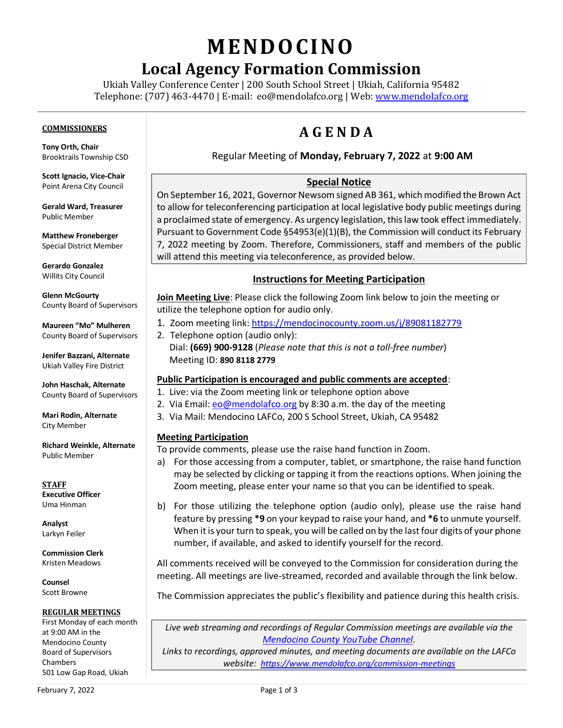# **MENDO CINO**

# **Local Agency Formation Commission**

Ukiah Valley Conference Center | 200 South School Street | Ukiah, California 95482 Telephone: (707) 463-4470 | E-mail: [eo@mendolafco.org](mailto:eo@mendolafco.org) | Web[: www.mendolafco.org](http://www.mendolafco.org/)

#### **COMMISSIONERS**

**Tony Orth, Chair** Brooktrails Township CSD

**Scott Ignacio, Vice-Chair** Point Arena City Council

**Gerald Ward, Treasurer** Public Member

**Matthew Froneberger** Special District Member

**Gerardo Gonzalez** Willits City Council

**Glenn McGourty** County Board of Supervisors

**Maureen "Mo" Mulheren** County Board of Supervisors

**Jenifer Bazzani, Alternate** Ukiah Valley Fire District

**John Haschak, Alternate** County Board of Supervisors

**Mari Rodin, Alternate** City Member

**Richard Weinkle, Alternate** Public Member

**STAFF Executive Officer** Uma Hinman

**Analyst** Larkyn Feiler

**Commission Clerk** Kristen Meadows

**Counsel** Scott Browne

#### **REGULAR MEETINGS**

First Monday of each month at 9:00 AM in the Mendocino County Board of Supervisors Chambers 501 Low Gap Road, Ukiah

# **A G E N D A**

### Regular Meeting of **Monday, February 7, 2022** at **9:00 AM**

### **Special Notice**

On September 16, 2021, Governor Newsom signed AB 361, which modified the Brown Act to allow for teleconferencing participation at local legislative body public meetings during a proclaimed state of emergency. As urgency legislation, this law took effect immediately. Pursuant to Government Code §54953(e)(1)(B), the Commission will conduct its February 7, 2022 meeting by Zoom. Therefore, Commissioners, staff and members of the public will attend this meeting via teleconference, as provided below.

### **Instructions for Meeting Participation**

**Join Meeting Live**: Please click the following Zoom link below to join the meeting or utilize the telephone option for audio only.

- 1. Zoom meeting link: <https://mendocinocounty.zoom.us/j/89081182779>
- 2. Telephone option (audio only): Dial: **(669) 900-9128** (*Please note that this is not a toll-free number*) Meeting ID: **890 8118 2779**

#### **Public Participation is encouraged and public comments are accepted**:

- 1. Live: via the Zoom meeting link or telephone option above
- 2. Via Email[: eo@mendolafco.org](mailto:eo@mendolafco.org) by 8:30 a.m. the day of the meeting
- 3. Via Mail: Mendocino LAFCo, 200 S School Street, Ukiah, CA 95482

# **Meeting Participation**

To provide comments, please use the raise hand function in Zoom.

- a) For those accessing from a computer, tablet, or smartphone, the raise hand function may be selected by clicking or tapping it from the reactions options. When joining the Zoom meeting, please enter your name so that you can be identified to speak.
- b) For those utilizing the telephone option (audio only), please use the raise hand feature by pressing **\*9** on your keypad to raise your hand, and **\*6** to unmute yourself. When it is your turn to speak, you will be called on by the last four digits of your phone number, if available, and asked to identify yourself for the record.

All comments received will be conveyed to the Commission for consideration during the meeting. All meetings are live-streamed, recorded and available through the link below.

The Commission appreciates the public's flexibility and patience during this health crisis.

*Live web streaming and recordings of Regular Commission meetings are available via the [Mendocino County YouTube Channel](http://www.youtube.com/MendocinoCountyVideo).* 

*Links to recordings, approved minutes, and meeting documents are available on the LAFCo website: <https://www.mendolafco.org/commission-meetings>*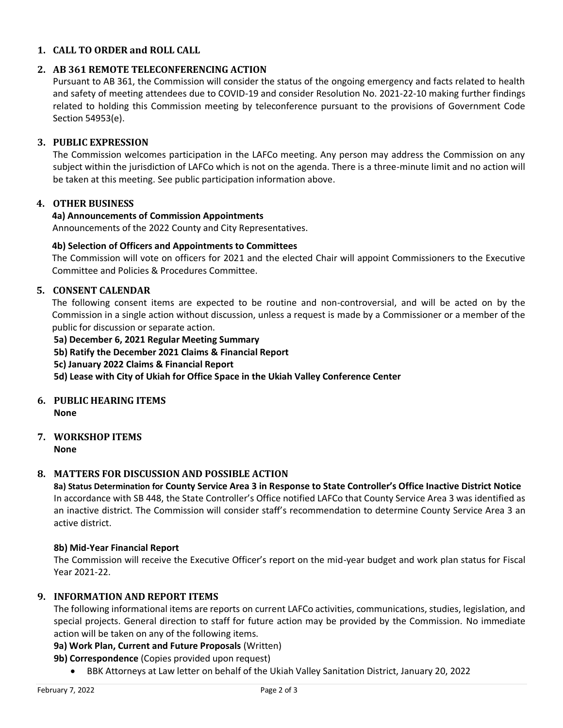### **1. CALL TO ORDER and ROLL CALL**

#### **2. AB 361 REMOTE TELECONFERENCING ACTION**

Pursuant to AB 361, the Commission will consider the status of the ongoing emergency and facts related to health and safety of meeting attendees due to COVID-19 and consider Resolution No. 2021-22-10 making further findings related to holding this Commission meeting by teleconference pursuant to the provisions of Government Code Section 54953(e).

#### **3. PUBLIC EXPRESSION**

The Commission welcomes participation in the LAFCo meeting. Any person may address the Commission on any subject within the jurisdiction of LAFCo which is not on the agenda. There is a three-minute limit and no action will be taken at this meeting. See public participation information above.

# **4. OTHER BUSINESS**

#### **4a) Announcements of Commission Appointments**

Announcements of the 2022 County and City Representatives.

#### **4b) Selection of Officers and Appointments to Committees**

The Commission will vote on officers for 2021 and the elected Chair will appoint Commissioners to the Executive Committee and Policies & Procedures Committee.

### **5. CONSENT CALENDAR**

The following consent items are expected to be routine and non-controversial, and will be acted on by the Commission in a single action without discussion, unless a request is made by a Commissioner or a member of the public for discussion or separate action.

#### **5a) December 6, 2021 Regular Meeting Summary**

- **5b) Ratify the December 2021 Claims & Financial Report**
- **5c) January 2022 Claims & Financial Report**

**5d) Lease with City of Ukiah for Office Space in the Ukiah Valley Conference Center** 

# **6. PUBLIC HEARING ITEMS**

**None**

# **7. WORKSHOP ITEMS**

**None**

# **8. MATTERS FOR DISCUSSION AND POSSIBLE ACTION**

**8a) Status Determination for County Service Area 3 in Response to State Controller's Office Inactive District Notice** In accordance with SB 448, the State Controller's Office notified LAFCo that County Service Area 3 was identified as an inactive district. The Commission will consider staff's recommendation to determine County Service Area 3 an active district.

#### **8b) Mid-Year Financial Report**

The Commission will receive the Executive Officer's report on the mid-year budget and work plan status for Fiscal Year 2021-22.

### **9. INFORMATION AND REPORT ITEMS**

The following informational items are reports on current LAFCo activities, communications, studies, legislation, and special projects. General direction to staff for future action may be provided by the Commission. No immediate action will be taken on any of the following items.

#### **9a) Work Plan, Current and Future Proposals** (Written)

#### **9b) Correspondence** (Copies provided upon request)

• BBK Attorneys at Law letter on behalf of the Ukiah Valley Sanitation District, January 20, 2022